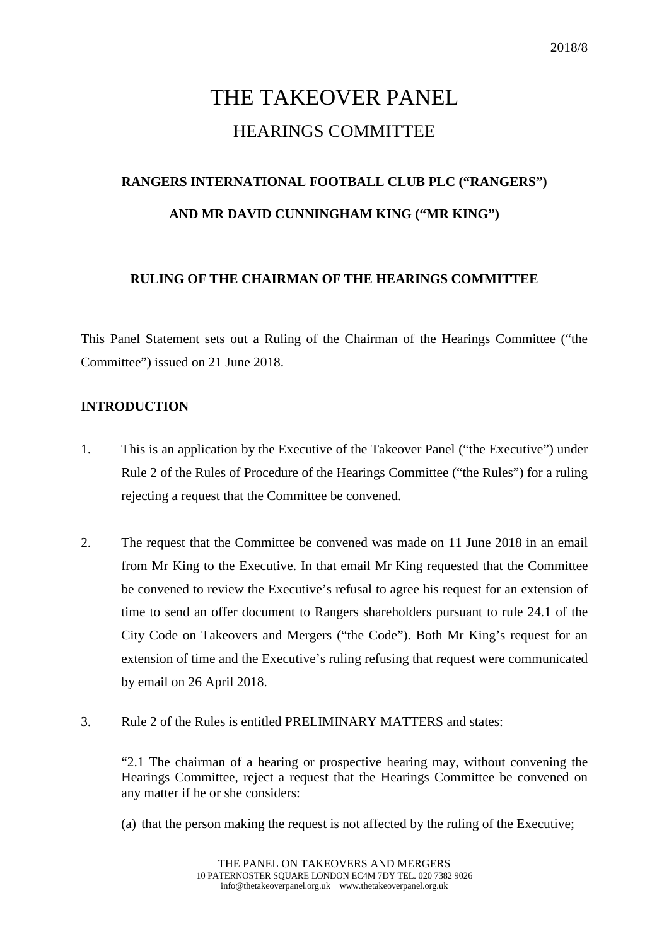# THE TAKEOVER PANEL HEARINGS COMMITTEE

## **RANGERS INTERNATIONAL FOOTBALL CLUB PLC ("RANGERS") AND MR DAVID CUNNINGHAM KING ("MR KING")**

#### **RULING OF THE CHAIRMAN OF THE HEARINGS COMMITTEE**

This Panel Statement sets out a Ruling of the Chairman of the Hearings Committee ("the Committee") issued on 21 June 2018.

#### **INTRODUCTION**

- 1. This is an application by the Executive of the Takeover Panel ("the Executive") under Rule 2 of the Rules of Procedure of the Hearings Committee ("the Rules") for a ruling rejecting a request that the Committee be convened.
- 2. The request that the Committee be convened was made on 11 June 2018 in an email from Mr King to the Executive. In that email Mr King requested that the Committee be convened to review the Executive's refusal to agree his request for an extension of time to send an offer document to Rangers shareholders pursuant to rule 24.1 of the City Code on Takeovers and Mergers ("the Code"). Both Mr King's request for an extension of time and the Executive's ruling refusing that request were communicated by email on 26 April 2018.
- 3. Rule 2 of the Rules is entitled PRELIMINARY MATTERS and states:

"2.1 The chairman of a hearing or prospective hearing may, without convening the Hearings Committee, reject a request that the Hearings Committee be convened on any matter if he or she considers:

(a) that the person making the request is not affected by the ruling of the Executive;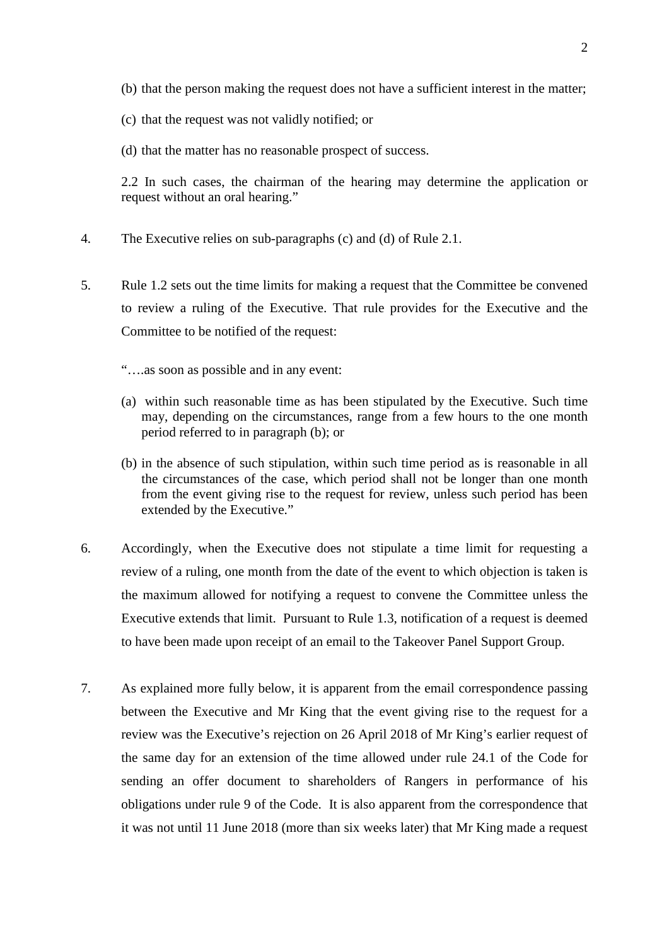- (b) that the person making the request does not have a sufficient interest in the matter;
- (c) that the request was not validly notified; or
- (d) that the matter has no reasonable prospect of success.

2.2 In such cases, the chairman of the hearing may determine the application or request without an oral hearing."

- 4. The Executive relies on sub-paragraphs (c) and (d) of Rule 2.1.
- 5. Rule 1.2 sets out the time limits for making a request that the Committee be convened to review a ruling of the Executive. That rule provides for the Executive and the Committee to be notified of the request:

"….as soon as possible and in any event:

- (a) within such reasonable time as has been stipulated by the Executive. Such time may, depending on the circumstances, range from a few hours to the one month period referred to in paragraph (b); or
- (b) in the absence of such stipulation, within such time period as is reasonable in all the circumstances of the case, which period shall not be longer than one month from the event giving rise to the request for review, unless such period has been extended by the Executive."
- 6. Accordingly, when the Executive does not stipulate a time limit for requesting a review of a ruling, one month from the date of the event to which objection is taken is the maximum allowed for notifying a request to convene the Committee unless the Executive extends that limit. Pursuant to Rule 1.3, notification of a request is deemed to have been made upon receipt of an email to the Takeover Panel Support Group.
- 7. As explained more fully below, it is apparent from the email correspondence passing between the Executive and Mr King that the event giving rise to the request for a review was the Executive's rejection on 26 April 2018 of Mr King's earlier request of the same day for an extension of the time allowed under rule 24.1 of the Code for sending an offer document to shareholders of Rangers in performance of his obligations under rule 9 of the Code. It is also apparent from the correspondence that it was not until 11 June 2018 (more than six weeks later) that Mr King made a request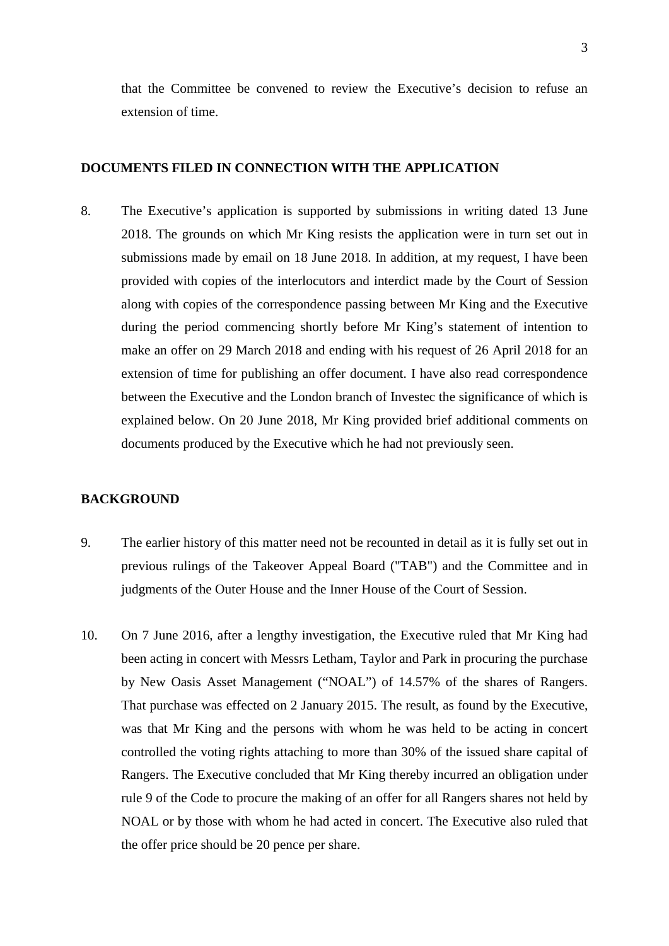that the Committee be convened to review the Executive's decision to refuse an extension of time.

#### **DOCUMENTS FILED IN CONNECTION WITH THE APPLICATION**

8. The Executive's application is supported by submissions in writing dated 13 June 2018. The grounds on which Mr King resists the application were in turn set out in submissions made by email on 18 June 2018. In addition, at my request, I have been provided with copies of the interlocutors and interdict made by the Court of Session along with copies of the correspondence passing between Mr King and the Executive during the period commencing shortly before Mr King's statement of intention to make an offer on 29 March 2018 and ending with his request of 26 April 2018 for an extension of time for publishing an offer document. I have also read correspondence between the Executive and the London branch of Investec the significance of which is explained below. On 20 June 2018, Mr King provided brief additional comments on documents produced by the Executive which he had not previously seen.

#### **BACKGROUND**

- 9. The earlier history of this matter need not be recounted in detail as it is fully set out in previous rulings of the Takeover Appeal Board ("TAB") and the Committee and in judgments of the Outer House and the Inner House of the Court of Session.
- 10. On 7 June 2016, after a lengthy investigation, the Executive ruled that Mr King had been acting in concert with Messrs Letham, Taylor and Park in procuring the purchase by New Oasis Asset Management ("NOAL") of 14.57% of the shares of Rangers. That purchase was effected on 2 January 2015. The result, as found by the Executive, was that Mr King and the persons with whom he was held to be acting in concert controlled the voting rights attaching to more than 30% of the issued share capital of Rangers. The Executive concluded that Mr King thereby incurred an obligation under rule 9 of the Code to procure the making of an offer for all Rangers shares not held by NOAL or by those with whom he had acted in concert. The Executive also ruled that the offer price should be 20 pence per share.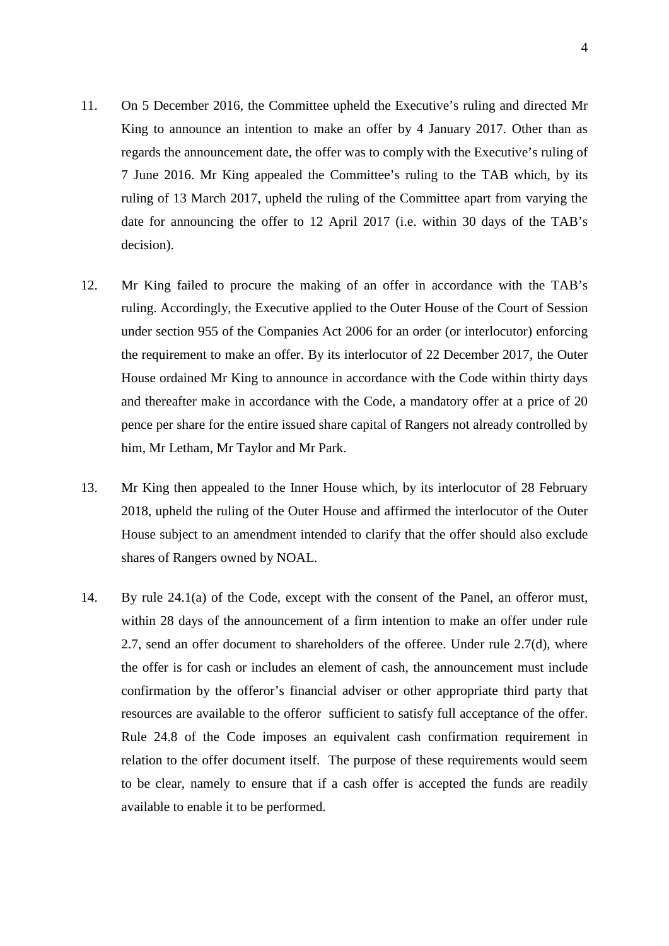- 11. On 5 December 2016, the Committee upheld the Executive's ruling and directed Mr King to announce an intention to make an offer by 4 January 2017. Other than as regards the announcement date, the offer was to comply with the Executive's ruling of 7 June 2016. Mr King appealed the Committee's ruling to the TAB which, by its ruling of 13 March 2017, upheld the ruling of the Committee apart from varying the date for announcing the offer to 12 April 2017 (i.e. within 30 days of the TAB's decision).
- 12. Mr King failed to procure the making of an offer in accordance with the TAB's ruling. Accordingly, the Executive applied to the Outer House of the Court of Session under section 955 of the Companies Act 2006 for an order (or interlocutor) enforcing the requirement to make an offer. By its interlocutor of 22 December 2017, the Outer House ordained Mr King to announce in accordance with the Code within thirty days and thereafter make in accordance with the Code, a mandatory offer at a price of 20 pence per share for the entire issued share capital of Rangers not already controlled by him, Mr Letham, Mr Taylor and Mr Park.
- 13. Mr King then appealed to the Inner House which, by its interlocutor of 28 February 2018, upheld the ruling of the Outer House and affirmed the interlocutor of the Outer House subject to an amendment intended to clarify that the offer should also exclude shares of Rangers owned by NOAL.
- 14. By rule 24.1(a) of the Code, except with the consent of the Panel, an offeror must, within 28 days of the announcement of a firm intention to make an offer under rule 2.7, send an offer document to shareholders of the offeree. Under rule 2.7(d), where the offer is for cash or includes an element of cash, the announcement must include confirmation by the offeror's financial adviser or other appropriate third party that resources are available to the offeror sufficient to satisfy full acceptance of the offer. Rule 24.8 of the Code imposes an equivalent cash confirmation requirement in relation to the offer document itself. The purpose of these requirements would seem to be clear, namely to ensure that if a cash offer is accepted the funds are readily available to enable it to be performed.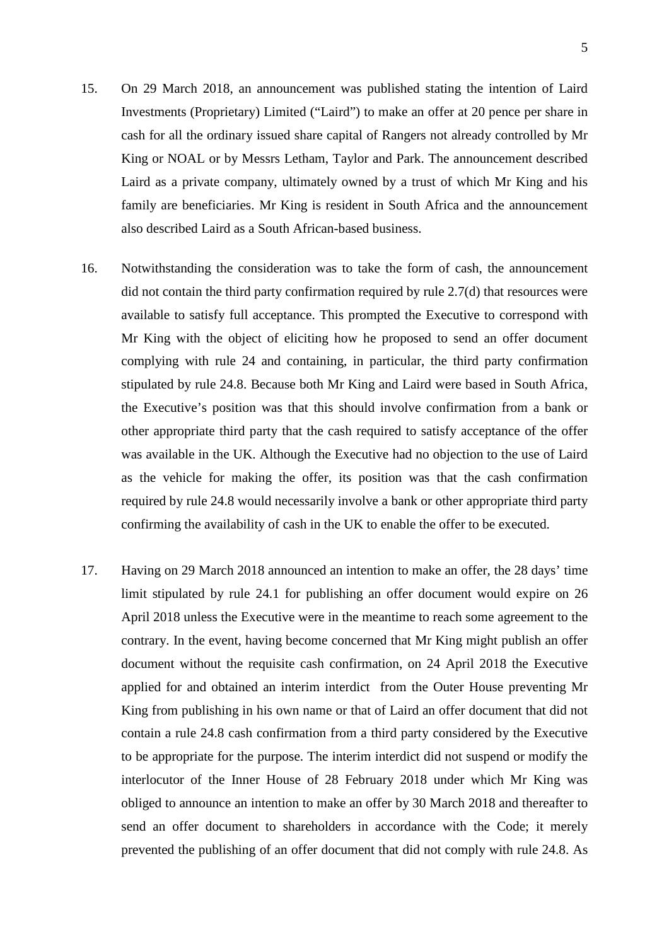- 15. On 29 March 2018, an announcement was published stating the intention of Laird Investments (Proprietary) Limited ("Laird") to make an offer at 20 pence per share in cash for all the ordinary issued share capital of Rangers not already controlled by Mr King or NOAL or by Messrs Letham, Taylor and Park. The announcement described Laird as a private company, ultimately owned by a trust of which Mr King and his family are beneficiaries. Mr King is resident in South Africa and the announcement also described Laird as a South African-based business.
- 16. Notwithstanding the consideration was to take the form of cash, the announcement did not contain the third party confirmation required by rule 2.7(d) that resources were available to satisfy full acceptance. This prompted the Executive to correspond with Mr King with the object of eliciting how he proposed to send an offer document complying with rule 24 and containing, in particular, the third party confirmation stipulated by rule 24.8. Because both Mr King and Laird were based in South Africa, the Executive's position was that this should involve confirmation from a bank or other appropriate third party that the cash required to satisfy acceptance of the offer was available in the UK. Although the Executive had no objection to the use of Laird as the vehicle for making the offer, its position was that the cash confirmation required by rule 24.8 would necessarily involve a bank or other appropriate third party confirming the availability of cash in the UK to enable the offer to be executed.
- 17. Having on 29 March 2018 announced an intention to make an offer, the 28 days' time limit stipulated by rule 24.1 for publishing an offer document would expire on 26 April 2018 unless the Executive were in the meantime to reach some agreement to the contrary. In the event, having become concerned that Mr King might publish an offer document without the requisite cash confirmation, on 24 April 2018 the Executive applied for and obtained an interim interdict from the Outer House preventing Mr King from publishing in his own name or that of Laird an offer document that did not contain a rule 24.8 cash confirmation from a third party considered by the Executive to be appropriate for the purpose. The interim interdict did not suspend or modify the interlocutor of the Inner House of 28 February 2018 under which Mr King was obliged to announce an intention to make an offer by 30 March 2018 and thereafter to send an offer document to shareholders in accordance with the Code; it merely prevented the publishing of an offer document that did not comply with rule 24.8. As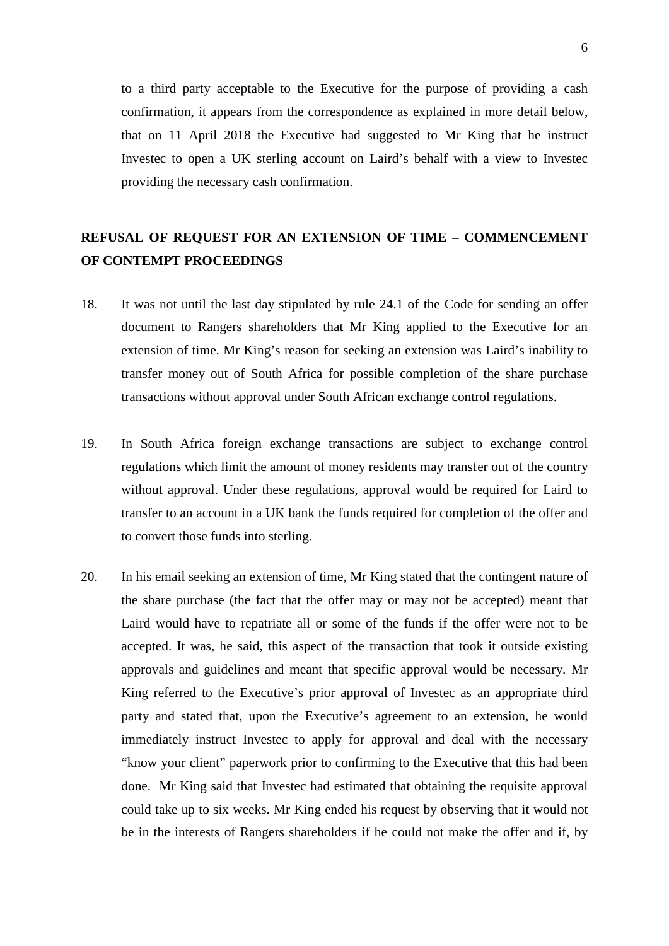to a third party acceptable to the Executive for the purpose of providing a cash confirmation, it appears from the correspondence as explained in more detail below, that on 11 April 2018 the Executive had suggested to Mr King that he instruct Investec to open a UK sterling account on Laird's behalf with a view to Investec providing the necessary cash confirmation.

### **REFUSAL OF REQUEST FOR AN EXTENSION OF TIME – COMMENCEMENT OF CONTEMPT PROCEEDINGS**

- 18. It was not until the last day stipulated by rule 24.1 of the Code for sending an offer document to Rangers shareholders that Mr King applied to the Executive for an extension of time. Mr King's reason for seeking an extension was Laird's inability to transfer money out of South Africa for possible completion of the share purchase transactions without approval under South African exchange control regulations.
- 19. In South Africa foreign exchange transactions are subject to exchange control regulations which limit the amount of money residents may transfer out of the country without approval. Under these regulations, approval would be required for Laird to transfer to an account in a UK bank the funds required for completion of the offer and to convert those funds into sterling.
- 20. In his email seeking an extension of time, Mr King stated that the contingent nature of the share purchase (the fact that the offer may or may not be accepted) meant that Laird would have to repatriate all or some of the funds if the offer were not to be accepted. It was, he said, this aspect of the transaction that took it outside existing approvals and guidelines and meant that specific approval would be necessary. Mr King referred to the Executive's prior approval of Investec as an appropriate third party and stated that, upon the Executive's agreement to an extension, he would immediately instruct Investec to apply for approval and deal with the necessary "know your client" paperwork prior to confirming to the Executive that this had been done. Mr King said that Investec had estimated that obtaining the requisite approval could take up to six weeks. Mr King ended his request by observing that it would not be in the interests of Rangers shareholders if he could not make the offer and if, by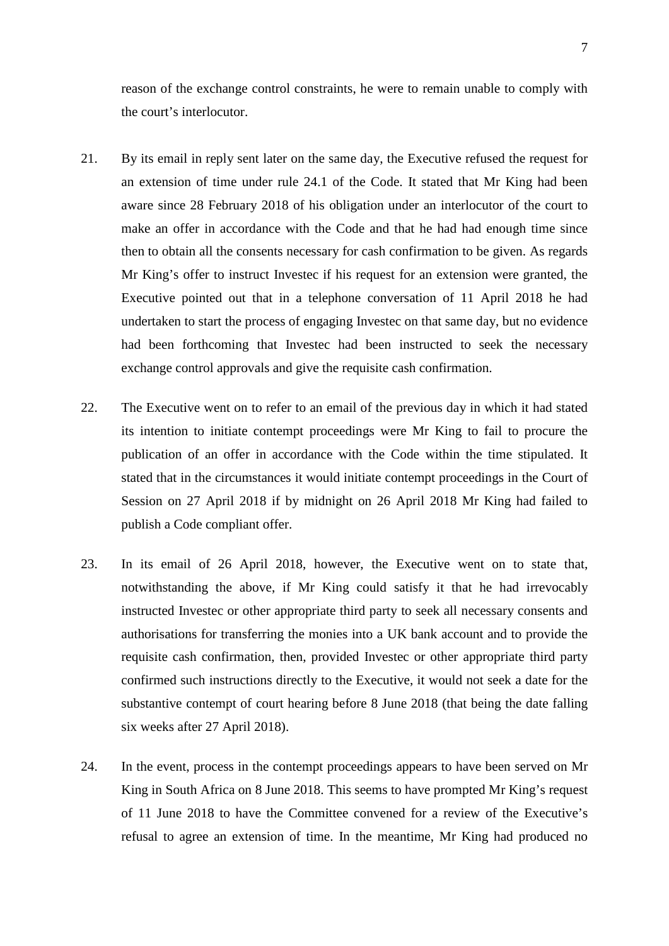reason of the exchange control constraints, he were to remain unable to comply with the court's interlocutor.

- 21. By its email in reply sent later on the same day, the Executive refused the request for an extension of time under rule 24.1 of the Code. It stated that Mr King had been aware since 28 February 2018 of his obligation under an interlocutor of the court to make an offer in accordance with the Code and that he had had enough time since then to obtain all the consents necessary for cash confirmation to be given. As regards Mr King's offer to instruct Investec if his request for an extension were granted, the Executive pointed out that in a telephone conversation of 11 April 2018 he had undertaken to start the process of engaging Investec on that same day, but no evidence had been forthcoming that Investec had been instructed to seek the necessary exchange control approvals and give the requisite cash confirmation.
- 22. The Executive went on to refer to an email of the previous day in which it had stated its intention to initiate contempt proceedings were Mr King to fail to procure the publication of an offer in accordance with the Code within the time stipulated. It stated that in the circumstances it would initiate contempt proceedings in the Court of Session on 27 April 2018 if by midnight on 26 April 2018 Mr King had failed to publish a Code compliant offer.
- 23. In its email of 26 April 2018, however, the Executive went on to state that, notwithstanding the above, if Mr King could satisfy it that he had irrevocably instructed Investec or other appropriate third party to seek all necessary consents and authorisations for transferring the monies into a UK bank account and to provide the requisite cash confirmation, then, provided Investec or other appropriate third party confirmed such instructions directly to the Executive, it would not seek a date for the substantive contempt of court hearing before 8 June 2018 (that being the date falling six weeks after 27 April 2018).
- 24. In the event, process in the contempt proceedings appears to have been served on Mr King in South Africa on 8 June 2018. This seems to have prompted Mr King's request of 11 June 2018 to have the Committee convened for a review of the Executive's refusal to agree an extension of time. In the meantime, Mr King had produced no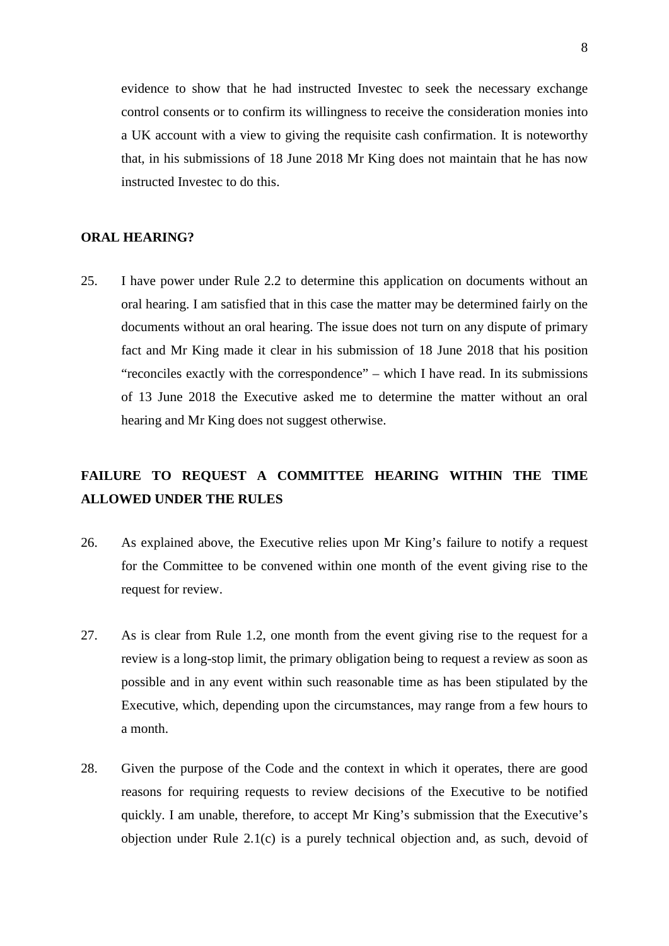evidence to show that he had instructed Investec to seek the necessary exchange control consents or to confirm its willingness to receive the consideration monies into a UK account with a view to giving the requisite cash confirmation. It is noteworthy that, in his submissions of 18 June 2018 Mr King does not maintain that he has now instructed Investec to do this.

#### **ORAL HEARING?**

25. I have power under Rule 2.2 to determine this application on documents without an oral hearing. I am satisfied that in this case the matter may be determined fairly on the documents without an oral hearing. The issue does not turn on any dispute of primary fact and Mr King made it clear in his submission of 18 June 2018 that his position "reconciles exactly with the correspondence" – which I have read. In its submissions of 13 June 2018 the Executive asked me to determine the matter without an oral hearing and Mr King does not suggest otherwise.

## **FAILURE TO REQUEST A COMMITTEE HEARING WITHIN THE TIME ALLOWED UNDER THE RULES**

- 26. As explained above, the Executive relies upon Mr King's failure to notify a request for the Committee to be convened within one month of the event giving rise to the request for review.
- 27. As is clear from Rule 1.2, one month from the event giving rise to the request for a review is a long-stop limit, the primary obligation being to request a review as soon as possible and in any event within such reasonable time as has been stipulated by the Executive, which, depending upon the circumstances, may range from a few hours to a month.
- 28. Given the purpose of the Code and the context in which it operates, there are good reasons for requiring requests to review decisions of the Executive to be notified quickly. I am unable, therefore, to accept Mr King's submission that the Executive's objection under Rule 2.1(c) is a purely technical objection and, as such, devoid of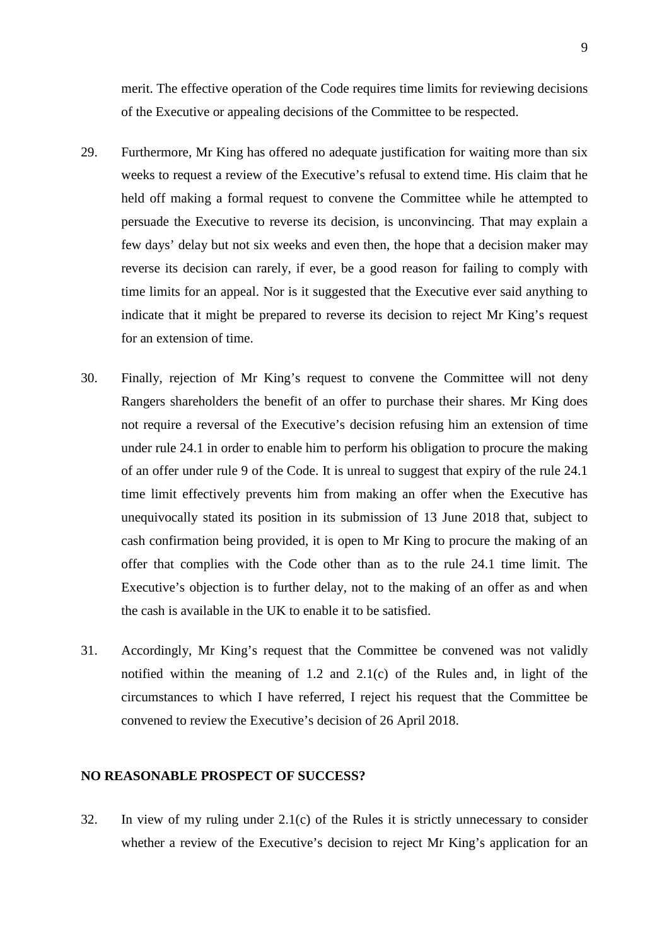merit. The effective operation of the Code requires time limits for reviewing decisions of the Executive or appealing decisions of the Committee to be respected.

- 29. Furthermore, Mr King has offered no adequate justification for waiting more than six weeks to request a review of the Executive's refusal to extend time. His claim that he held off making a formal request to convene the Committee while he attempted to persuade the Executive to reverse its decision, is unconvincing. That may explain a few days' delay but not six weeks and even then, the hope that a decision maker may reverse its decision can rarely, if ever, be a good reason for failing to comply with time limits for an appeal. Nor is it suggested that the Executive ever said anything to indicate that it might be prepared to reverse its decision to reject Mr King's request for an extension of time.
- 30. Finally, rejection of Mr King's request to convene the Committee will not deny Rangers shareholders the benefit of an offer to purchase their shares. Mr King does not require a reversal of the Executive's decision refusing him an extension of time under rule 24.1 in order to enable him to perform his obligation to procure the making of an offer under rule 9 of the Code. It is unreal to suggest that expiry of the rule 24.1 time limit effectively prevents him from making an offer when the Executive has unequivocally stated its position in its submission of 13 June 2018 that, subject to cash confirmation being provided, it is open to Mr King to procure the making of an offer that complies with the Code other than as to the rule 24.1 time limit. The Executive's objection is to further delay, not to the making of an offer as and when the cash is available in the UK to enable it to be satisfied.
- 31. Accordingly, Mr King's request that the Committee be convened was not validly notified within the meaning of 1.2 and 2.1(c) of the Rules and, in light of the circumstances to which I have referred, I reject his request that the Committee be convened to review the Executive's decision of 26 April 2018.

#### **NO REASONABLE PROSPECT OF SUCCESS?**

32. In view of my ruling under 2.1(c) of the Rules it is strictly unnecessary to consider whether a review of the Executive's decision to reject Mr King's application for an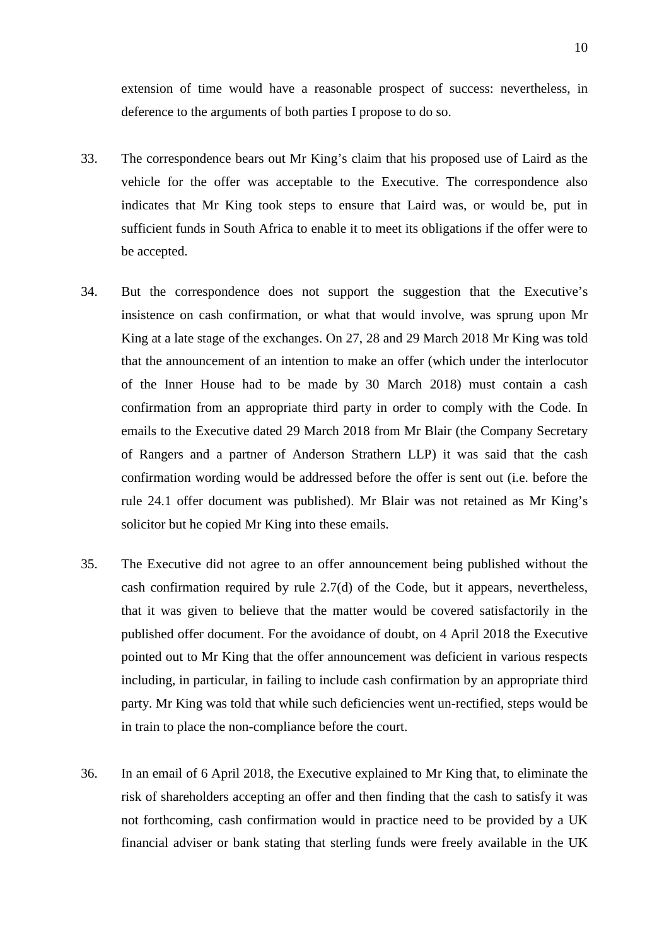extension of time would have a reasonable prospect of success: nevertheless, in deference to the arguments of both parties I propose to do so.

- 33. The correspondence bears out Mr King's claim that his proposed use of Laird as the vehicle for the offer was acceptable to the Executive. The correspondence also indicates that Mr King took steps to ensure that Laird was, or would be, put in sufficient funds in South Africa to enable it to meet its obligations if the offer were to be accepted.
- 34. But the correspondence does not support the suggestion that the Executive's insistence on cash confirmation, or what that would involve, was sprung upon Mr King at a late stage of the exchanges. On 27, 28 and 29 March 2018 Mr King was told that the announcement of an intention to make an offer (which under the interlocutor of the Inner House had to be made by 30 March 2018) must contain a cash confirmation from an appropriate third party in order to comply with the Code. In emails to the Executive dated 29 March 2018 from Mr Blair (the Company Secretary of Rangers and a partner of Anderson Strathern LLP) it was said that the cash confirmation wording would be addressed before the offer is sent out (i.e. before the rule 24.1 offer document was published). Mr Blair was not retained as Mr King's solicitor but he copied Mr King into these emails.
- 35. The Executive did not agree to an offer announcement being published without the cash confirmation required by rule 2.7(d) of the Code, but it appears, nevertheless, that it was given to believe that the matter would be covered satisfactorily in the published offer document. For the avoidance of doubt, on 4 April 2018 the Executive pointed out to Mr King that the offer announcement was deficient in various respects including, in particular, in failing to include cash confirmation by an appropriate third party. Mr King was told that while such deficiencies went un-rectified, steps would be in train to place the non-compliance before the court.
- 36. In an email of 6 April 2018, the Executive explained to Mr King that, to eliminate the risk of shareholders accepting an offer and then finding that the cash to satisfy it was not forthcoming, cash confirmation would in practice need to be provided by a UK financial adviser or bank stating that sterling funds were freely available in the UK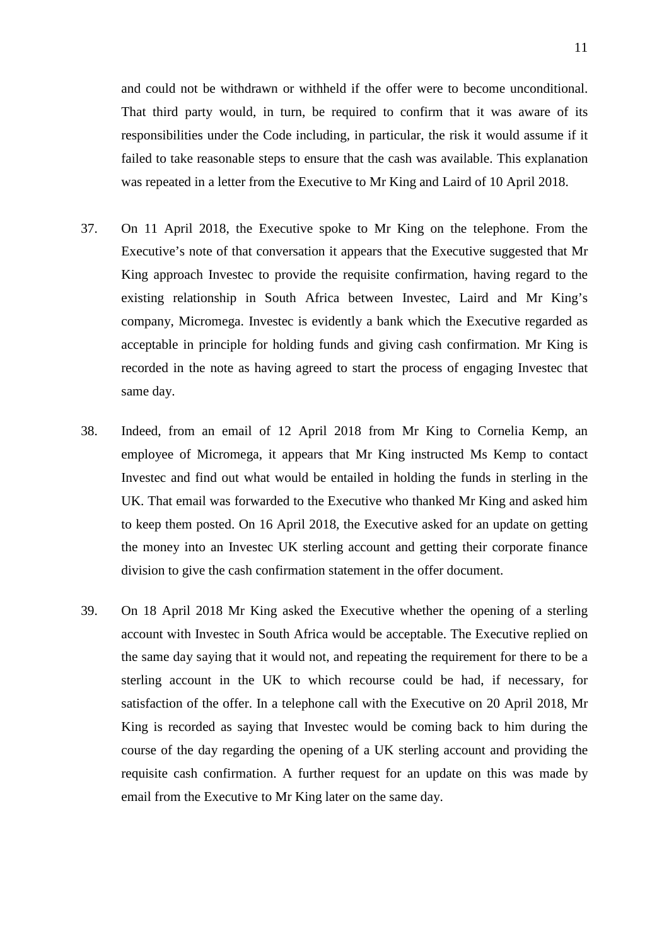and could not be withdrawn or withheld if the offer were to become unconditional. That third party would, in turn, be required to confirm that it was aware of its responsibilities under the Code including, in particular, the risk it would assume if it failed to take reasonable steps to ensure that the cash was available. This explanation was repeated in a letter from the Executive to Mr King and Laird of 10 April 2018.

- 37. On 11 April 2018, the Executive spoke to Mr King on the telephone. From the Executive's note of that conversation it appears that the Executive suggested that Mr King approach Investec to provide the requisite confirmation, having regard to the existing relationship in South Africa between Investec, Laird and Mr King's company, Micromega. Investec is evidently a bank which the Executive regarded as acceptable in principle for holding funds and giving cash confirmation. Mr King is recorded in the note as having agreed to start the process of engaging Investec that same day.
- 38. Indeed, from an email of 12 April 2018 from Mr King to Cornelia Kemp, an employee of Micromega, it appears that Mr King instructed Ms Kemp to contact Investec and find out what would be entailed in holding the funds in sterling in the UK. That email was forwarded to the Executive who thanked Mr King and asked him to keep them posted. On 16 April 2018, the Executive asked for an update on getting the money into an Investec UK sterling account and getting their corporate finance division to give the cash confirmation statement in the offer document.
- 39. On 18 April 2018 Mr King asked the Executive whether the opening of a sterling account with Investec in South Africa would be acceptable. The Executive replied on the same day saying that it would not, and repeating the requirement for there to be a sterling account in the UK to which recourse could be had, if necessary, for satisfaction of the offer. In a telephone call with the Executive on 20 April 2018, Mr King is recorded as saying that Investec would be coming back to him during the course of the day regarding the opening of a UK sterling account and providing the requisite cash confirmation. A further request for an update on this was made by email from the Executive to Mr King later on the same day.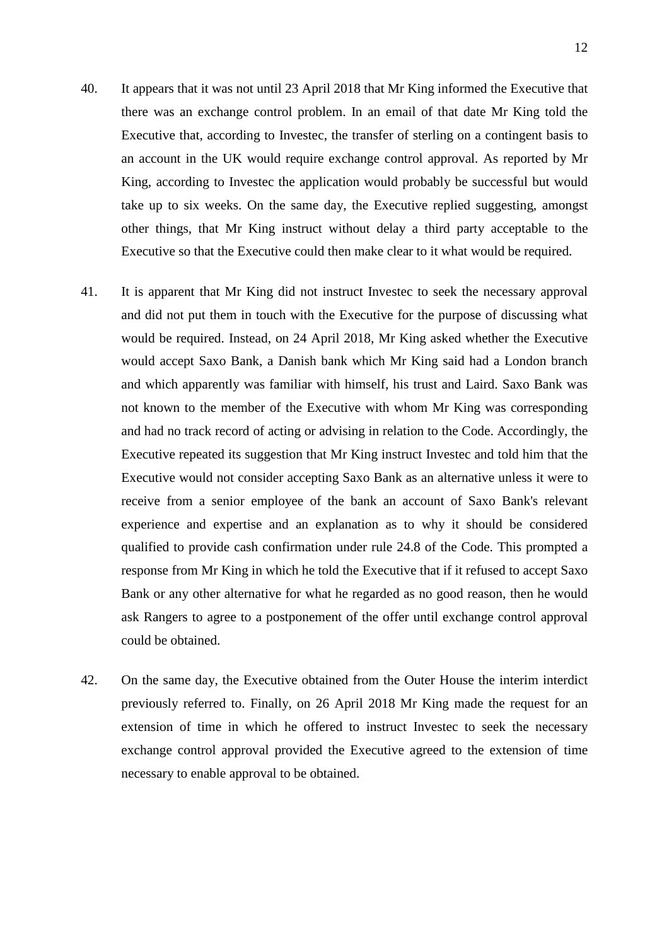- 40. It appears that it was not until 23 April 2018 that Mr King informed the Executive that there was an exchange control problem. In an email of that date Mr King told the Executive that, according to Investec, the transfer of sterling on a contingent basis to an account in the UK would require exchange control approval. As reported by Mr King, according to Investec the application would probably be successful but would take up to six weeks. On the same day, the Executive replied suggesting, amongst other things, that Mr King instruct without delay a third party acceptable to the Executive so that the Executive could then make clear to it what would be required.
- 41. It is apparent that Mr King did not instruct Investec to seek the necessary approval and did not put them in touch with the Executive for the purpose of discussing what would be required. Instead, on 24 April 2018, Mr King asked whether the Executive would accept Saxo Bank, a Danish bank which Mr King said had a London branch and which apparently was familiar with himself, his trust and Laird. Saxo Bank was not known to the member of the Executive with whom Mr King was corresponding and had no track record of acting or advising in relation to the Code. Accordingly, the Executive repeated its suggestion that Mr King instruct Investec and told him that the Executive would not consider accepting Saxo Bank as an alternative unless it were to receive from a senior employee of the bank an account of Saxo Bank's relevant experience and expertise and an explanation as to why it should be considered qualified to provide cash confirmation under rule 24.8 of the Code. This prompted a response from Mr King in which he told the Executive that if it refused to accept Saxo Bank or any other alternative for what he regarded as no good reason, then he would ask Rangers to agree to a postponement of the offer until exchange control approval could be obtained.
- 42. On the same day, the Executive obtained from the Outer House the interim interdict previously referred to. Finally, on 26 April 2018 Mr King made the request for an extension of time in which he offered to instruct Investec to seek the necessary exchange control approval provided the Executive agreed to the extension of time necessary to enable approval to be obtained.